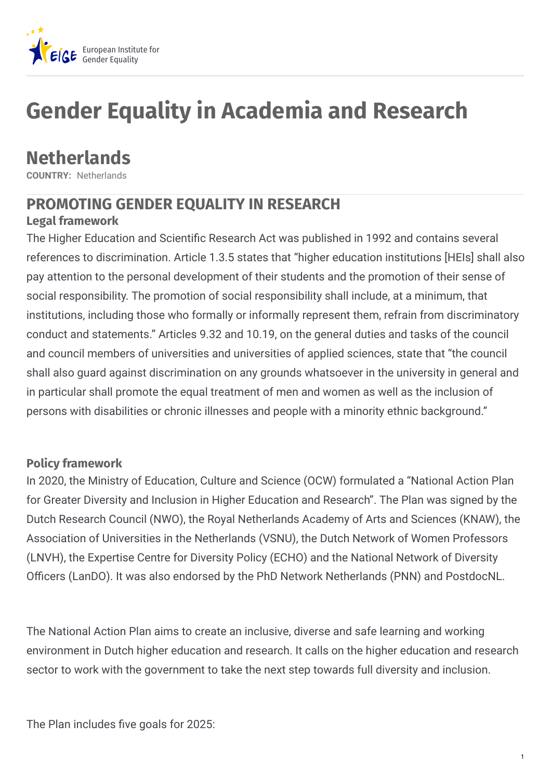

# **Gender Equality in Academia and Research**

# **Netherlands**

**COUNTRY:** Netherlands

# **PROMOTING GENDER EQUALITY IN RESEARCH**

# **Legal framework**

The Higher Education and Scientific Research Act was published in 1992 and contains several references to discrimination. Article 1.3.5 states that "higher education institutions [HEIs] shall also pay attention to the personal development of their students and the promotion of their sense of social responsibility. The promotion of social responsibility shall include, at a minimum, that institutions, including those who formally or informally represent them, refrain from discriminatory conduct and statements." Articles 9.32 and 10.19, on the general duties and tasks of the council and council members of universities and universities of applied sciences, state that "the council shall also guard against discrimination on any grounds whatsoever in the university in general and in particular shall promote the equal treatment of men and women as well as the inclusion of persons with disabilities or chronic illnesses and people with a minority ethnic background."

#### **Policy framework**

In 2020, the Ministry of Education, Culture and Science (OCW) formulated a "National Action Plan for Greater Diversity and Inclusion in Higher Education and Research". The Plan was signed by the Dutch Research Council (NWO), the Royal Netherlands Academy of Arts and Sciences (KNAW), the Association of Universities in the Netherlands (VSNU), the Dutch Network of Women Professors (LNVH), the Expertise Centre for Diversity Policy (ECHO) and the National Network of Diversity Officers (LanDO). It was also endorsed by the PhD Network Netherlands (PNN) and PostdocNL.

The National Action Plan aims to create an inclusive, diverse and safe learning and working environment in Dutch higher education and research. It calls on the higher education and research sector to work with the government to take the next step towards full diversity and inclusion.

The Plan includes five goals for 2025: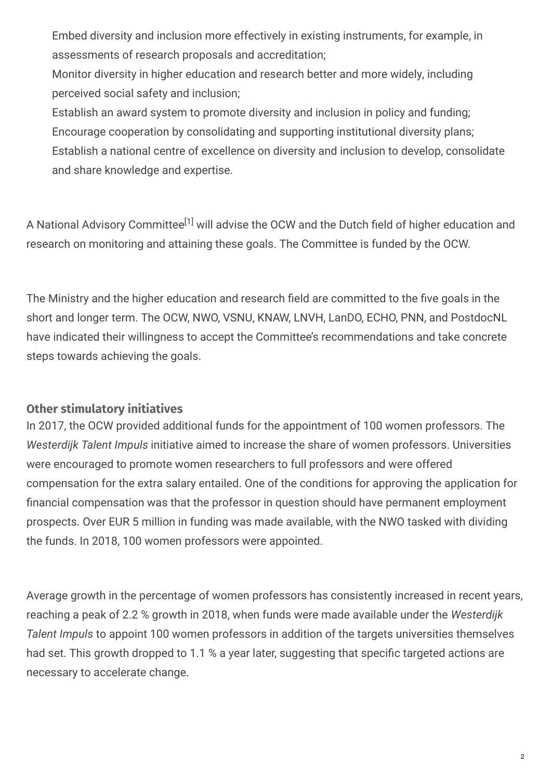Embed diversity and inclusion more effectively in existing instruments, for example, in assessments of research proposals and accreditation;

Monitor diversity in higher education and research better and more widely, including perceived social safety and inclusion;

Establish an award system to promote diversity and inclusion in policy and funding; Encourage cooperation by consolidating and supporting institutional diversity plans; Establish a national centre of excellence on diversity and inclusion to develop, consolidate and share knowledge and expertise.

A National Advisory Committee<sup>[1]</sup> will advise the OCW and the Dutch field of higher education and research on monitoring and attaining these goals. The Committee is funded by the OCW.

The Ministry and the higher education and research field are committed to the five goals in the short and longer term. The OCW, NWO, VSNU, KNAW, LNVH, LanDO, ECHO, PNN, and PostdocNL have indicated their willingness to accept the Committee's recommendations and take concrete steps towards achieving the goals.

# **Other stimulatory initiatives**

In 2017, the OCW provided additional funds for the appointment of 100 women professors. The *Westerdijk Talent Impuls* initiative aimed to increase the share of women professors. Universities were encouraged to promote women researchers to full professors and were offered compensation for the extra salary entailed. One of the conditions for approving the application for nancial compensation was that the professor in question should have permanent employment prospects. Over EUR 5 million in funding was made available, with the NWO tasked with dividing the funds. In 2018, 100 women professors were appointed.

Average growth in the percentage of women professors has consistently increased in recent years, reaching a peak of 2.2 % growth in 2018, when funds were made available under the *Westerdijk Talent Impuls* to appoint 100 women professors in addition of the targets universities themselves had set. This growth dropped to 1.1 % a year later, suggesting that specific targeted actions are necessary to accelerate change.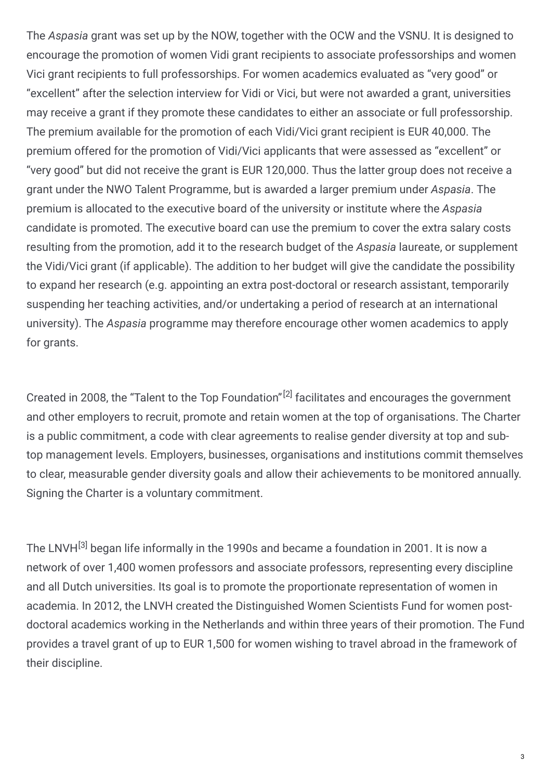The *Aspasia* grant was set up by the NOW, together with the OCW and the VSNU. It is designed to encourage the promotion of women Vidi grant recipients to associate professorships and women Vici grant recipients to full professorships. For women academics evaluated as "very good" or "excellent" after the selection interview for Vidi or Vici, but were not awarded a grant, universities may receive a grant if they promote these candidates to either an associate or full professorship. The premium available for the promotion of each Vidi/Vici grant recipient is EUR 40,000. The premium offered for the promotion of Vidi/Vici applicants that were assessed as "excellent" or "very good" but did not receive the grant is EUR 120,000. Thus the latter group does not receive a grant under the NWO Talent Programme, but is awarded a larger premium under *Aspasia*. The premium is allocated to the executive board of the university or institute where the *Aspasia* candidate is promoted. The executive board can use the premium to cover the extra salary costs resulting from the promotion, add it to the research budget of the *Aspasia* laureate, or supplement the Vidi/Vici grant (if applicable). The addition to her budget will give the candidate the possibility to expand her research (e.g. appointing an extra post-doctoral or research assistant, temporarily suspending her teaching activities, and/or undertaking a period of research at an international university). The *Aspasia* programme may therefore encourage other women academics to apply for grants.

Created in 2008, the "Talent to the Top Foundation"<sup>[2]</sup> facilitates and encourages the government and other employers to recruit, promote and retain women at the top of organisations. The Charter is a public commitment, a code with clear agreements to realise gender diversity at top and subtop management levels. Employers, businesses, organisations and institutions commit themselves to clear, measurable gender diversity goals and allow their achievements to be monitored annually. Signing the Charter is a voluntary commitment.

The LNVH<sup>[3]</sup> began life informally in the 1990s and became a foundation in 2001. It is now a network of over 1,400 women professors and associate professors, representing every discipline and all Dutch universities. Its goal is to promote the proportionate representation of women in academia. In 2012, the LNVH created the Distinguished Women Scientists Fund for women postdoctoral academics working in the Netherlands and within three years of their promotion. The Fund provides a travel grant of up to EUR 1,500 for women wishing to travel abroad in the framework of their discipline.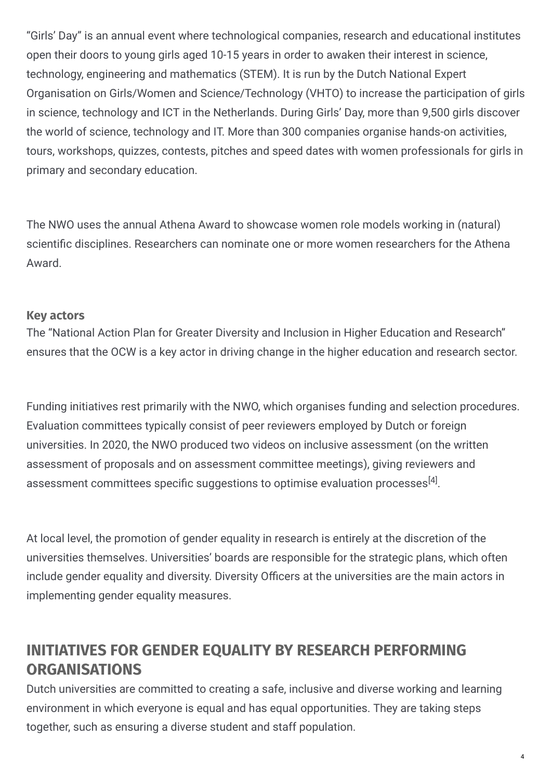"Girls' Day" is an annual event where technological companies, research and educational institutes open their doors to young girls aged 10-15 years in order to awaken their interest in science, technology, engineering and mathematics (STEM). It is run by the Dutch National Expert Organisation on Girls/Women and Science/Technology (VHTO) to increase the participation of girls in science, technology and ICT in the Netherlands. During Girls' Day, more than 9,500 girls discover the world of science, technology and IT. More than 300 companies organise hands-on activities, tours, workshops, quizzes, contests, pitches and speed dates with women professionals for girls in primary and secondary education.

The NWO uses the annual Athena Award to showcase women role models working in (natural) scientific disciplines. Researchers can nominate one or more women researchers for the Athena Award.

#### **Key actors**

The "National Action Plan for Greater Diversity and Inclusion in Higher Education and Research" ensures that the OCW is a key actor in driving change in the higher education and research sector.

Funding initiatives rest primarily with the NWO, which organises funding and selection procedures. Evaluation committees typically consist of peer reviewers employed by Dutch or foreign universities. In 2020, the NWO produced two videos on inclusive assessment (on the written assessment of proposals and on assessment committee meetings), giving reviewers and assessment committees specific suggestions to optimise evaluation processes $^{[4]}.$ 

At local level, the promotion of gender equality in research is entirely at the discretion of the universities themselves. Universities' boards are responsible for the strategic plans, which often include gender equality and diversity. Diversity Officers at the universities are the main actors in implementing gender equality measures.

# **INITIATIVES FOR GENDER EQUALITY BY RESEARCH PERFORMING ORGANISATIONS**

Dutch universities are committed to creating a safe, inclusive and diverse working and learning environment in which everyone is equal and has equal opportunities. They are taking steps together, such as ensuring a diverse student and staff population.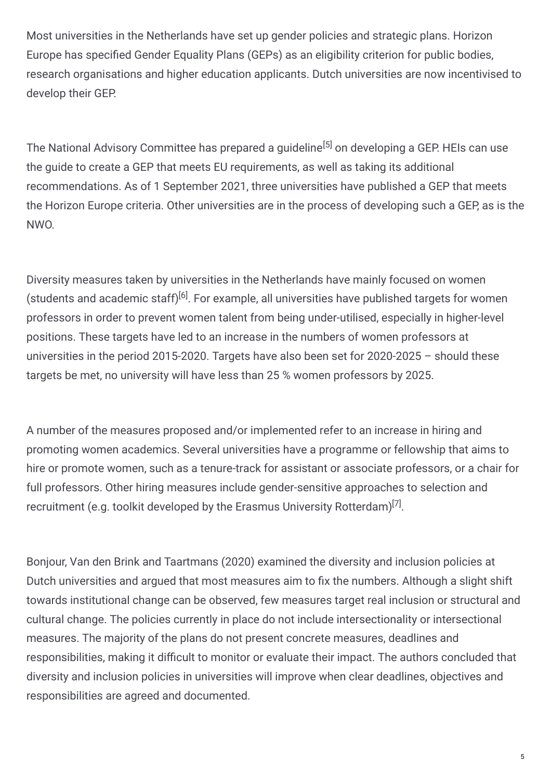Most universities in the Netherlands have set up gender policies and strategic plans. Horizon Europe has specified Gender Equality Plans (GEPs) as an eligibility criterion for public bodies, research organisations and higher education applicants. Dutch universities are now incentivised to develop their GEP.

The National Advisory Committee has prepared a guideline<sup>[5]</sup> on developing a GEP. HEIs can use the guide to create a GEP that meets EU requirements, as well as taking its additional recommendations. As of 1 September 2021, three universities have published a GEP that meets the Horizon Europe criteria. Other universities are in the process of developing such a GEP, as is the NWO.

Diversity measures taken by universities in the Netherlands have mainly focused on women (students and academic staff)<sup>[6]</sup>. For example, all universities have published targets for women professors in order to prevent women talent from being under-utilised, especially in higher-level positions. These targets have led to an increase in the numbers of women professors at universities in the period 2015-2020. Targets have also been set for 2020-2025 – should these targets be met, no university will have less than 25 % women professors by 2025.

A number of the measures proposed and/or implemented refer to an increase in hiring and promoting women academics. Several universities have a programme or fellowship that aims to hire or promote women, such as a tenure-track for assistant or associate professors, or a chair for full professors. Other hiring measures include gender-sensitive approaches to selection and recruitment (e.g. toolkit developed by the Erasmus University Rotterdam) $^{[7]}$ .

Bonjour, Van den Brink and Taartmans (2020) examined the diversity and inclusion policies at Dutch universities and argued that most measures aim to fix the numbers. Although a slight shift towards institutional change can be observed, few measures target real inclusion or structural and cultural change. The policies currently in place do not include intersectionality or intersectional measures. The majority of the plans do not present concrete measures, deadlines and responsibilities, making it difficult to monitor or evaluate their impact. The authors concluded that diversity and inclusion policies in universities will improve when clear deadlines, objectives and responsibilities are agreed and documented.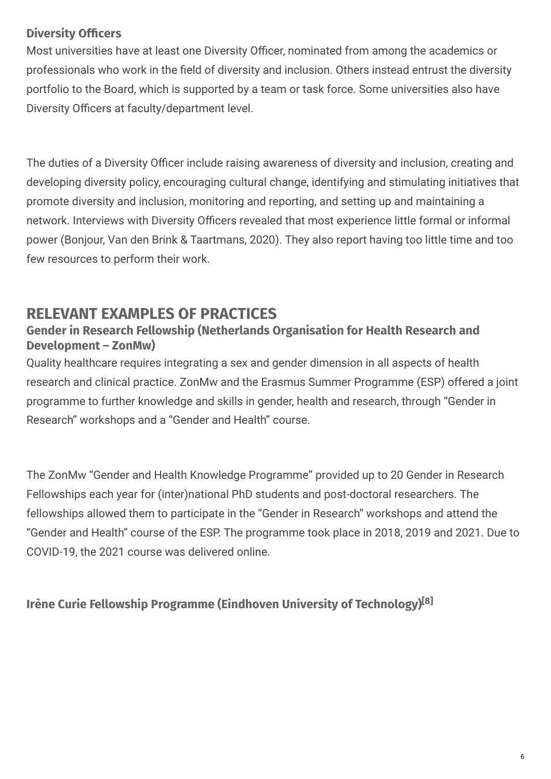# **Diversity Officers**

Most universities have at least one Diversity Officer, nominated from among the academics or professionals who work in the field of diversity and inclusion. Others instead entrust the diversity portfolio to the Board, which is supported by a team or task force. Some universities also have Diversity Officers at faculty/department level.

The duties of a Diversity Officer include raising awareness of diversity and inclusion, creating and developing diversity policy, encouraging cultural change, identifying and stimulating initiatives that promote diversity and inclusion, monitoring and reporting, and setting up and maintaining a network. Interviews with Diversity Officers revealed that most experience little formal or informal power (Bonjour, Van den Brink & Taartmans, 2020). They also report having too little time and too few resources to perform their work.

# **RELEVANT EXAMPLES OF PRACTICES**

# **Gender in Research Fellowship (Netherlands Organisation for Health Research and Development – ZonMw)**

Quality healthcare requires integrating a sex and gender dimension in all aspects of health research and clinical practice. ZonMw and the Erasmus Summer Programme (ESP) offered a joint programme to further knowledge and skills in gender, health and research, through "Gender in Research" workshops and a "Gender and Health" course.

The ZonMw "Gender and Health Knowledge Programme" provided up to 20 Gender in Research Fellowships each year for (inter)national PhD students and post-doctoral researchers. The fellowships allowed them to participate in the "Gender in Research" workshops and attend the "Gender and Health" course of the ESP. The programme took place in 2018, 2019 and 2021. Due to COVID-19, the 2021 course was delivered online.

# **Irène Curie Fellowship Programme (Eindhoven University of Technology) [8]**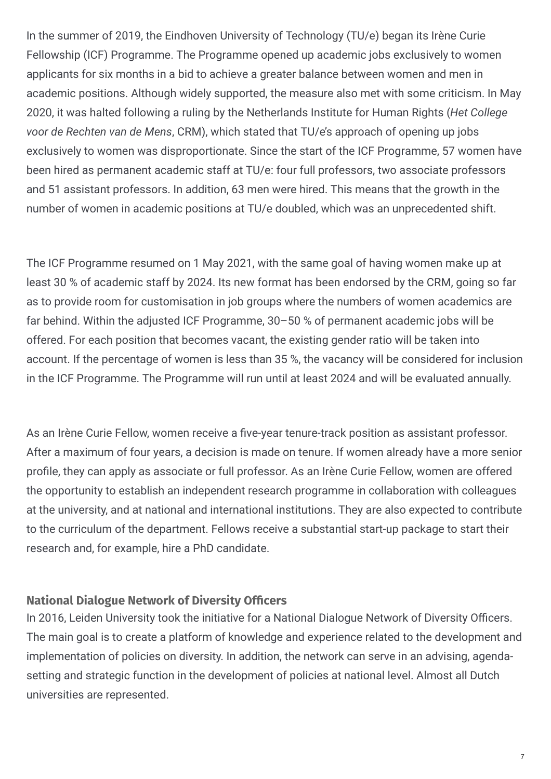In the summer of 2019, the Eindhoven University of Technology (TU/e) began its Irène Curie Fellowship (ICF) Programme. The Programme opened up academic jobs exclusively to women applicants for six months in a bid to achieve a greater balance between women and men in academic positions. Although widely supported, the measure also met with some criticism. In May 2020, it was halted following a ruling by the Netherlands Institute for Human Rights (*Het College voor de Rechten van de Mens*, CRM), which stated that TU/e's approach of opening up jobs exclusively to women was disproportionate. Since the start of the ICF Programme, 57 women have been hired as permanent academic staff at TU/e: four full professors, two associate professors and 51 assistant professors. In addition, 63 men were hired. This means that the growth in the number of women in academic positions at TU/e doubled, which was an unprecedented shift.

The ICF Programme resumed on 1 May 2021, with the same goal of having women make up at least 30 % of academic staff by 2024. Its new format has been endorsed by the CRM, going so far as to provide room for customisation in job groups where the numbers of women academics are far behind. Within the adjusted ICF Programme, 30–50 % of permanent academic jobs will be offered. For each position that becomes vacant, the existing gender ratio will be taken into account. If the percentage of women is less than 35 %, the vacancy will be considered for inclusion in the ICF Programme. The Programme will run until at least 2024 and will be evaluated annually.

As an Irène Curie Fellow, women receive a five-year tenure-track position as assistant professor. After a maximum of four years, a decision is made on tenure. If women already have a more senior profile, they can apply as associate or full professor. As an Irène Curie Fellow, women are offered the opportunity to establish an independent research programme in collaboration with colleagues at the university, and at national and international institutions. They are also expected to contribute to the curriculum of the department. Fellows receive a substantial start-up package to start their research and, for example, hire a PhD candidate.

#### **National Dialogue Network of Diversity Officers**

In 2016, Leiden University took the initiative for a National Dialogue Network of Diversity Officers. The main goal is to create a platform of knowledge and experience related to the development and implementation of policies on diversity. In addition, the network can serve in an advising, agendasetting and strategic function in the development of policies at national level. Almost all Dutch universities are represented.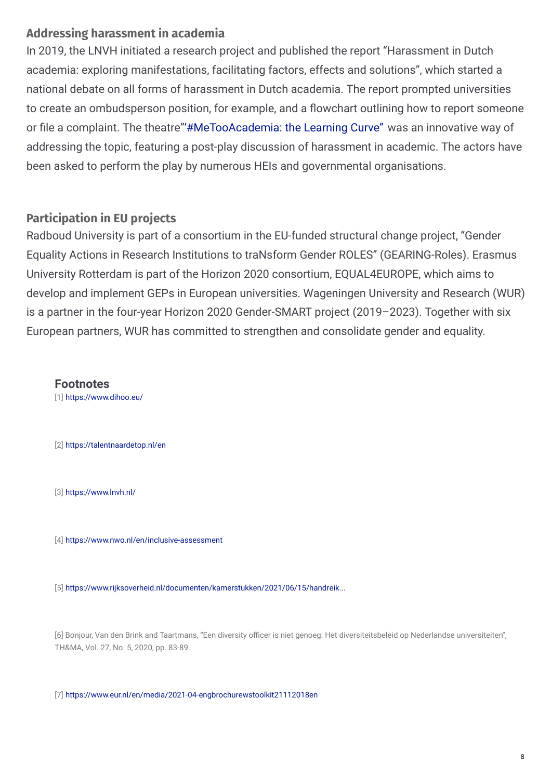## **Addressing harassment in academia**

In 2019, the LNVH initiated a research project and published the report "Harassment in Dutch academia: exploring manifestations, facilitating factors, effects and solutions", which started a national debate on all forms of harassment in Dutch academia. The report prompted universities to create an ombudsperson position, for example, and a flowchart outlining how to report someone or file a complaint. The theatre["'#MeTooAcademia:](http://www.hetacteursgenootschap.nl/productions/metooacademia-the-learning-curve/) the Learning Curve" was an innovative way of addressing the topic, featuring a post-play discussion of harassment in academic. The actors have been asked to perform the play by numerous HEIs and governmental organisations.

## **Participation in EU projects**

Radboud University is part of a consortium in the EU-funded structural change project, "Gender Equality Actions in Research Institutions to traNsform Gender ROLES" (GEARING-Roles). Erasmus University Rotterdam is part of the Horizon 2020 consortium, EQUAL4EUROPE, which aims to develop and implement GEPs in European universities. Wageningen University and Research (WUR) is a partner in the four-year Horizon 2020 Gender-SMART project (2019–2023). Together with six European partners, WUR has committed to strengthen and consolidate gender and equality.

**Footnotes**

[1] <https://www.dihoo.eu/>

[2] <https://talentnaardetop.nl/en>

[3] <https://www.lnvh.nl/>

[4] <https://www.nwo.nl/en/inclusive-assessment>

[5] [https://www.rijksoverheid.nl/documenten/kamerstukken/2021/06/15/handreik...](https://www.rijksoverheid.nl/documenten/kamerstukken/2021/06/15/handreiking-voor-het-opstellen-van-een-gendergelijkheidsplan)

[6] Bonjour, Van den Brink and Taartmans, "Een diversity officer is niet genoeg: Het diversiteitsbeleid op Nederlandse universiteiten", TH&MA, Vol. 27, No. 5, 2020, pp. 83-89.

[7] <https://www.eur.nl/en/media/2021-04-engbrochurewstoolkit21112018en>